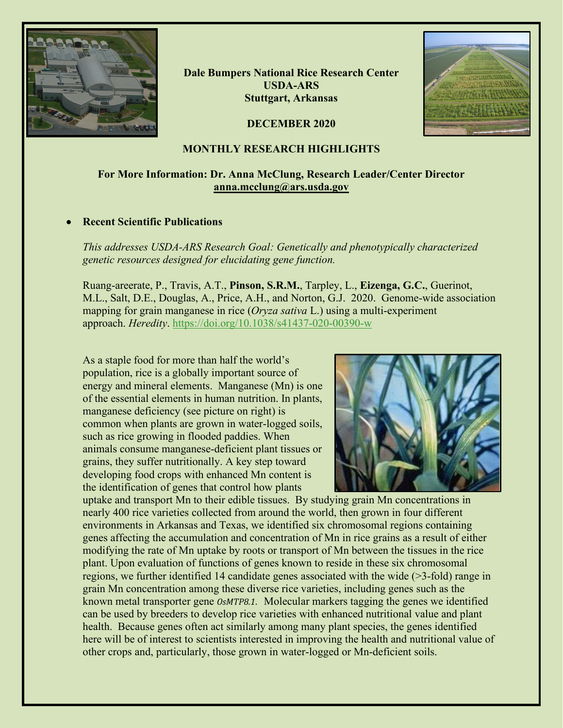

**Dale Bumpers National Rice Research Center USDA-ARS Stuttgart, Arkansas**

**DECEMBER 2020**



#### **MONTHLY RESEARCH HIGHLIGHTS**

#### **For More Information: Dr. Anna McClung, Research Leader/Center Director [anna.mcclung@ars.usda.gov](mailto:anna.mcclung@ars.usda.gov)**

#### • **Recent Scientific Publications**

*This addresses USDA-ARS Research Goal: Genetically and phenotypically characterized genetic resources designed for elucidating gene function.*

Ruang-areerate, P., Travis, A.T., **Pinson, S.R.M.**, Tarpley, L., **Eizenga, G.C.**, Guerinot, M.L., Salt, D.E., Douglas, A., Price, A.H., and Norton, G.J. 2020. Genome-wide association mapping for grain manganese in rice (*Oryza sativa* L.) using a multi-experiment approach. *Heredity*.<https://doi.org/10.1038/s41437-020-00390-w>

As a staple food for more than half the world's population, rice is a globally important source of energy and mineral elements.Manganese (Mn) is one of the essential elements in human nutrition. In plants, manganese deficiency (see picture on right) is common when plants are grown in water-logged soils, such as rice growing in flooded paddies. When animals consume manganese-deficient plant tissues or grains, they suffer nutritionally. A key step toward developing food crops with enhanced Mn content is the identification of genes that control how plants



uptake and transport Mn to their edible tissues. By studying grain Mn concentrations in nearly 400 rice varieties collected from around the world, then grown in four different environments in Arkansas and Texas, we identified six chromosomal regions containing genes affecting the accumulation and concentration of Mn in rice grains as a result of either modifying the rate of Mn uptake by roots or transport of Mn between the tissues in the rice plant. Upon evaluation of functions of genes known to reside in these six chromosomal regions, we further identified 14 candidate genes associated with the wide (>3-fold) range in grain Mn concentration among these diverse rice varieties, including genes such as the known metal transporter gene *OsMTP8.1*. Molecular markers tagging the genes we identified can be used by breeders to develop rice varieties with enhanced nutritional value and plant health. Because genes often act similarly among many plant species, the genes identified here will be of interest to scientists interested in improving the health and nutritional value of other crops and, particularly, those grown in water-logged or Mn-deficient soils.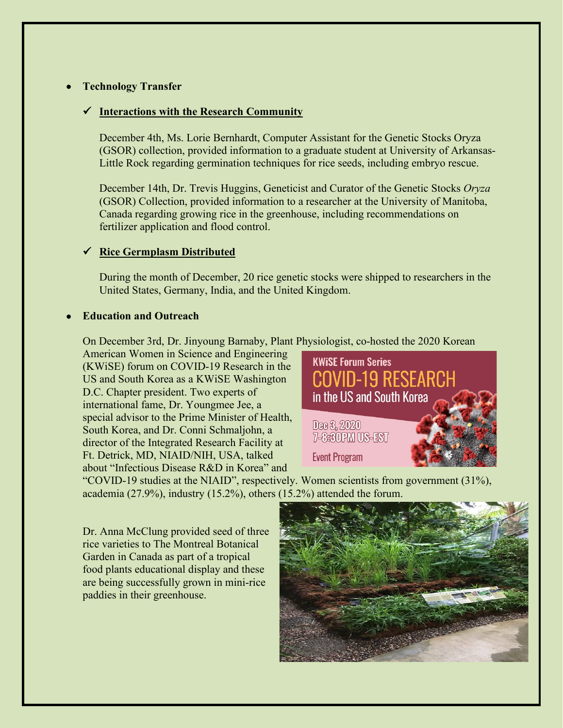# • **Technology Transfer**

# **Interactions with the Research Community**

December 4th, Ms. Lorie Bernhardt, Computer Assistant for the Genetic Stocks Oryza (GSOR) collection, provided information to a graduate student at University of Arkansas-Little Rock regarding germination techniques for rice seeds, including embryo rescue.

December 14th, Dr. Trevis Huggins, Geneticist and Curator of the Genetic Stocks *Oryza* (GSOR) Collection, provided information to a researcher at the University of Manitoba, Canada regarding growing rice in the greenhouse, including recommendations on fertilizer application and flood control.

# **Rice Germplasm Distributed**

During the month of December, 20 rice genetic stocks were shipped to researchers in the United States, Germany, India, and the United Kingdom.

#### • **Education and Outreach**

On December 3rd, Dr. Jinyoung Barnaby, Plant Physiologist, co-hosted the 2020 Korean

American Women in Science and Engineering (KWiSE) forum on COVID-19 Research in the US and South Korea as a KWiSE Washington D.C. Chapter president. Two experts of international fame, Dr. Youngmee Jee, a special advisor to the Prime Minister of Health, South Korea, and Dr. Conni Schmaljohn, a director of the Integrated Research Facility at Ft. Detrick, MD, NIAID/NIH, USA, talked about "Infectious Disease R&D in Korea" and



"COVID-19 studies at the NIAID", respectively. Women scientists from government (31%), academia (27.9%), industry (15.2%), others (15.2%) attended the forum.

Dr. Anna McClung provided seed of three rice varieties to The Montreal Botanical Garden in Canada as part of a tropical food plants educational display and these are being successfully grown in mini-rice paddies in their greenhouse.